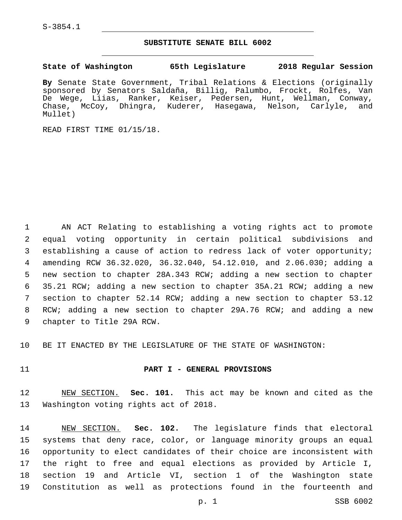## **SUBSTITUTE SENATE BILL 6002**

**State of Washington 65th Legislature 2018 Regular Session**

**By** Senate State Government, Tribal Relations & Elections (originally sponsored by Senators Saldaña, Billig, Palumbo, Frockt, Rolfes, Van De Wege, Liias, Ranker, Keiser, Pedersen, Hunt, Wellman, Conway, Chase, McCoy, Dhingra, Kuderer, Hasegawa, Nelson, Carlyle, and Mullet)

READ FIRST TIME 01/15/18.

 AN ACT Relating to establishing a voting rights act to promote equal voting opportunity in certain political subdivisions and establishing a cause of action to redress lack of voter opportunity; amending RCW 36.32.020, 36.32.040, 54.12.010, and 2.06.030; adding a new section to chapter 28A.343 RCW; adding a new section to chapter 35.21 RCW; adding a new section to chapter 35A.21 RCW; adding a new section to chapter 52.14 RCW; adding a new section to chapter 53.12 RCW; adding a new section to chapter 29A.76 RCW; and adding a new 9 chapter to Title 29A RCW.

BE IT ENACTED BY THE LEGISLATURE OF THE STATE OF WASHINGTON:

### **PART I - GENERAL PROVISIONS**

 NEW SECTION. **Sec. 101.** This act may be known and cited as the Washington voting rights act of 2018.

 NEW SECTION. **Sec. 102.** The legislature finds that electoral systems that deny race, color, or language minority groups an equal opportunity to elect candidates of their choice are inconsistent with the right to free and equal elections as provided by Article I, section 19 and Article VI, section 1 of the Washington state Constitution as well as protections found in the fourteenth and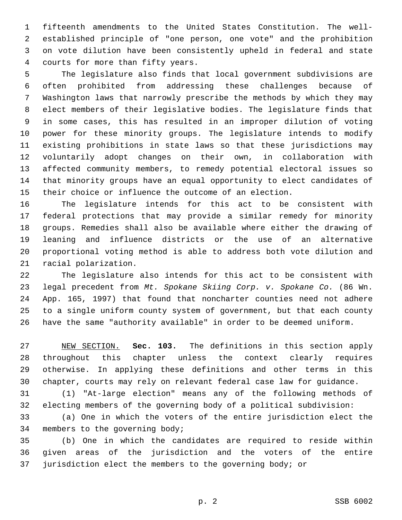fifteenth amendments to the United States Constitution. The well- established principle of "one person, one vote" and the prohibition on vote dilution have been consistently upheld in federal and state courts for more than fifty years.4

 The legislature also finds that local government subdivisions are often prohibited from addressing these challenges because of Washington laws that narrowly prescribe the methods by which they may elect members of their legislative bodies. The legislature finds that in some cases, this has resulted in an improper dilution of voting power for these minority groups. The legislature intends to modify existing prohibitions in state laws so that these jurisdictions may voluntarily adopt changes on their own, in collaboration with affected community members, to remedy potential electoral issues so that minority groups have an equal opportunity to elect candidates of their choice or influence the outcome of an election.

 The legislature intends for this act to be consistent with federal protections that may provide a similar remedy for minority groups. Remedies shall also be available where either the drawing of leaning and influence districts or the use of an alternative proportional voting method is able to address both vote dilution and 21 racial polarization.

 The legislature also intends for this act to be consistent with legal precedent from *Mt. Spokane Skiing Corp. v. Spokane Co.* (86 Wn. App. 165, 1997) that found that noncharter counties need not adhere to a single uniform county system of government, but that each county have the same "authority available" in order to be deemed uniform.

 NEW SECTION. **Sec. 103.** The definitions in this section apply throughout this chapter unless the context clearly requires otherwise. In applying these definitions and other terms in this chapter, courts may rely on relevant federal case law for guidance.

 (1) "At-large election" means any of the following methods of electing members of the governing body of a political subdivision:

 (a) One in which the voters of the entire jurisdiction elect the 34 members to the governing body;

 (b) One in which the candidates are required to reside within given areas of the jurisdiction and the voters of the entire jurisdiction elect the members to the governing body; or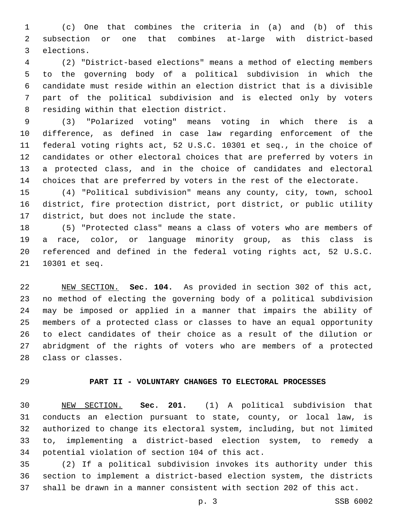(c) One that combines the criteria in (a) and (b) of this subsection or one that combines at-large with district-based 3 elections.

 (2) "District-based elections" means a method of electing members to the governing body of a political subdivision in which the candidate must reside within an election district that is a divisible part of the political subdivision and is elected only by voters 8 residing within that election district.

 (3) "Polarized voting" means voting in which there is a difference, as defined in case law regarding enforcement of the federal voting rights act, 52 U.S.C. 10301 et seq., in the choice of candidates or other electoral choices that are preferred by voters in a protected class, and in the choice of candidates and electoral choices that are preferred by voters in the rest of the electorate.

 (4) "Political subdivision" means any county, city, town, school district, fire protection district, port district, or public utility 17 district, but does not include the state.

 (5) "Protected class" means a class of voters who are members of a race, color, or language minority group, as this class is referenced and defined in the federal voting rights act, 52 U.S.C. 21 10301 et seq.

 NEW SECTION. **Sec. 104.** As provided in section 302 of this act, no method of electing the governing body of a political subdivision may be imposed or applied in a manner that impairs the ability of members of a protected class or classes to have an equal opportunity to elect candidates of their choice as a result of the dilution or abridgment of the rights of voters who are members of a protected class or classes.

## **PART II - VOLUNTARY CHANGES TO ELECTORAL PROCESSES**

 NEW SECTION. **Sec. 201.** (1) A political subdivision that conducts an election pursuant to state, county, or local law, is authorized to change its electoral system, including, but not limited to, implementing a district-based election system, to remedy a potential violation of section 104 of this act.

 (2) If a political subdivision invokes its authority under this section to implement a district-based election system, the districts shall be drawn in a manner consistent with section 202 of this act.

p. 3 SSB 6002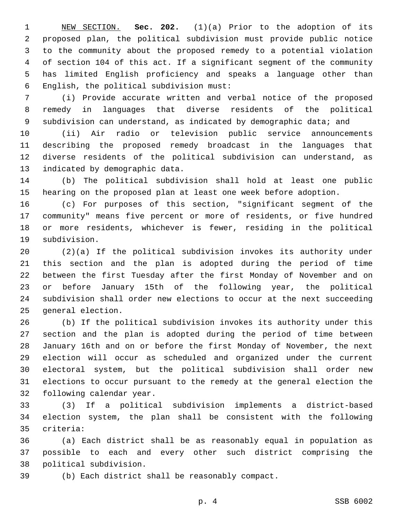NEW SECTION. **Sec. 202.** (1)(a) Prior to the adoption of its proposed plan, the political subdivision must provide public notice to the community about the proposed remedy to a potential violation of section 104 of this act. If a significant segment of the community has limited English proficiency and speaks a language other than English, the political subdivision must:

 (i) Provide accurate written and verbal notice of the proposed remedy in languages that diverse residents of the political subdivision can understand, as indicated by demographic data; and

 (ii) Air radio or television public service announcements describing the proposed remedy broadcast in the languages that diverse residents of the political subdivision can understand, as 13 indicated by demographic data.

 (b) The political subdivision shall hold at least one public hearing on the proposed plan at least one week before adoption.

 (c) For purposes of this section, "significant segment of the community" means five percent or more of residents, or five hundred or more residents, whichever is fewer, residing in the political 19 subdivision.

 (2)(a) If the political subdivision invokes its authority under this section and the plan is adopted during the period of time between the first Tuesday after the first Monday of November and on or before January 15th of the following year, the political subdivision shall order new elections to occur at the next succeeding 25 general election.

 (b) If the political subdivision invokes its authority under this section and the plan is adopted during the period of time between January 16th and on or before the first Monday of November, the next election will occur as scheduled and organized under the current electoral system, but the political subdivision shall order new elections to occur pursuant to the remedy at the general election the 32 following calendar year.

 (3) If a political subdivision implements a district-based election system, the plan shall be consistent with the following criteria:35

 (a) Each district shall be as reasonably equal in population as possible to each and every other such district comprising the 38 political subdivision.

(b) Each district shall be reasonably compact.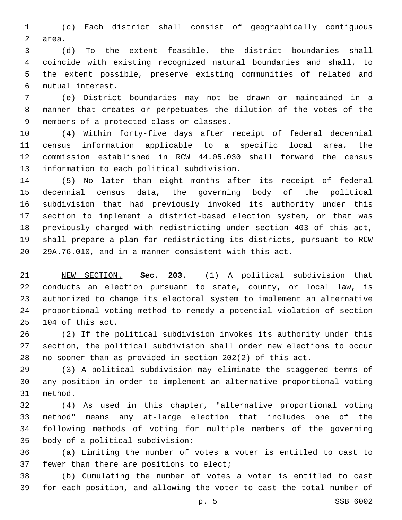(c) Each district shall consist of geographically contiguous 2 area.

 (d) To the extent feasible, the district boundaries shall coincide with existing recognized natural boundaries and shall, to the extent possible, preserve existing communities of related and mutual interest.6

 (e) District boundaries may not be drawn or maintained in a manner that creates or perpetuates the dilution of the votes of the 9 members of a protected class or classes.

 (4) Within forty-five days after receipt of federal decennial census information applicable to a specific local area, the commission established in RCW 44.05.030 shall forward the census 13 information to each political subdivision.

 (5) No later than eight months after its receipt of federal decennial census data, the governing body of the political subdivision that had previously invoked its authority under this section to implement a district-based election system, or that was previously charged with redistricting under section 403 of this act, shall prepare a plan for redistricting its districts, pursuant to RCW 29A.76.010, and in a manner consistent with this act.

 NEW SECTION. **Sec. 203.** (1) A political subdivision that conducts an election pursuant to state, county, or local law, is authorized to change its electoral system to implement an alternative proportional voting method to remedy a potential violation of section 104 of this act.

 (2) If the political subdivision invokes its authority under this section, the political subdivision shall order new elections to occur no sooner than as provided in section 202(2) of this act.

 (3) A political subdivision may eliminate the staggered terms of any position in order to implement an alternative proportional voting 31 method.

 (4) As used in this chapter, "alternative proportional voting method" means any at-large election that includes one of the following methods of voting for multiple members of the governing 35 body of a political subdivision:

 (a) Limiting the number of votes a voter is entitled to cast to 37 fewer than there are positions to elect;

 (b) Cumulating the number of votes a voter is entitled to cast for each position, and allowing the voter to cast the total number of

p. 5 SSB 6002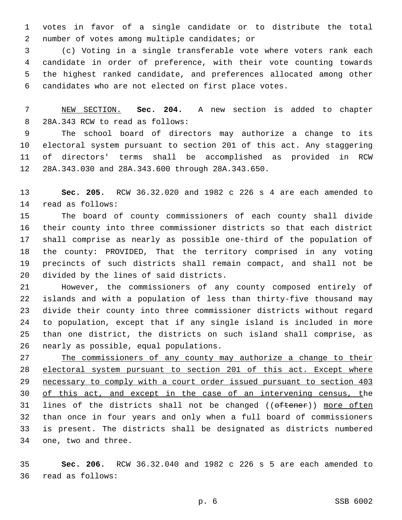votes in favor of a single candidate or to distribute the total 2 number of votes among multiple candidates; or

 (c) Voting in a single transferable vote where voters rank each candidate in order of preference, with their vote counting towards the highest ranked candidate, and preferences allocated among other candidates who are not elected on first place votes.

 NEW SECTION. **Sec. 204.** A new section is added to chapter 8 28A.343 RCW to read as follows:

 The school board of directors may authorize a change to its electoral system pursuant to section 201 of this act. Any staggering of directors' terms shall be accomplished as provided in RCW 12 28A.343.030 and 28A.343.600 through 28A.343.650.

 **Sec. 205.** RCW 36.32.020 and 1982 c 226 s 4 are each amended to 14 read as follows:

 The board of county commissioners of each county shall divide their county into three commissioner districts so that each district shall comprise as nearly as possible one-third of the population of the county: PROVIDED, That the territory comprised in any voting precincts of such districts shall remain compact, and shall not be 20 divided by the lines of said districts.

 However, the commissioners of any county composed entirely of islands and with a population of less than thirty-five thousand may divide their county into three commissioner districts without regard to population, except that if any single island is included in more than one district, the districts on such island shall comprise, as 26 nearly as possible, equal populations.

 The commissioners of any county may authorize a change to their 28 electoral system pursuant to section 201 of this act. Except where necessary to comply with a court order issued pursuant to section 403 30 of this act, and except in the case of an intervening census, the 31 lines of the districts shall not be changed ((oftener)) more often than once in four years and only when a full board of commissioners is present. The districts shall be designated as districts numbered 34 one, two and three.

 **Sec. 206.** RCW 36.32.040 and 1982 c 226 s 5 are each amended to 36 read as follows: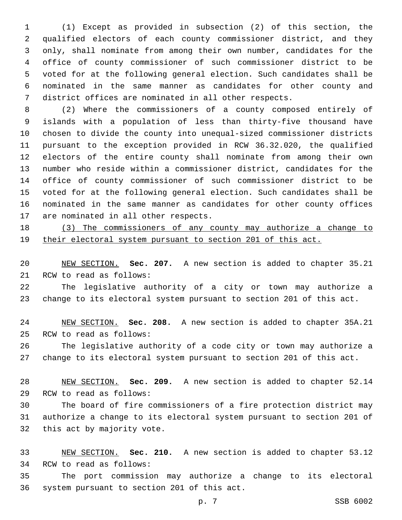(1) Except as provided in subsection (2) of this section, the qualified electors of each county commissioner district, and they only, shall nominate from among their own number, candidates for the office of county commissioner of such commissioner district to be voted for at the following general election. Such candidates shall be nominated in the same manner as candidates for other county and district offices are nominated in all other respects.

 (2) Where the commissioners of a county composed entirely of islands with a population of less than thirty-five thousand have chosen to divide the county into unequal-sized commissioner districts pursuant to the exception provided in RCW 36.32.020, the qualified electors of the entire county shall nominate from among their own number who reside within a commissioner district, candidates for the office of county commissioner of such commissioner district to be voted for at the following general election. Such candidates shall be nominated in the same manner as candidates for other county offices 17 are nominated in all other respects.

 (3) The commissioners of any county may authorize a change to their electoral system pursuant to section 201 of this act.

 NEW SECTION. **Sec. 207.** A new section is added to chapter 35.21 21 RCW to read as follows:

 The legislative authority of a city or town may authorize a change to its electoral system pursuant to section 201 of this act.

 NEW SECTION. **Sec. 208.** A new section is added to chapter 35A.21 25 RCW to read as follows:

 The legislative authority of a code city or town may authorize a change to its electoral system pursuant to section 201 of this act.

 NEW SECTION. **Sec. 209.** A new section is added to chapter 52.14 29 RCW to read as follows:

 The board of fire commissioners of a fire protection district may authorize a change to its electoral system pursuant to section 201 of 32 this act by majority vote.

 NEW SECTION. **Sec. 210.** A new section is added to chapter 53.12 34 RCW to read as follows:

 The port commission may authorize a change to its electoral 36 system pursuant to section 201 of this act.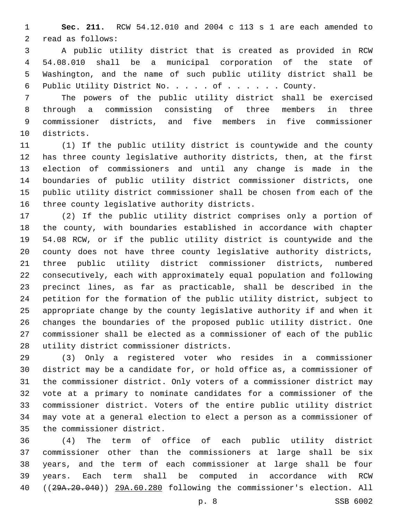**Sec. 211.** RCW 54.12.010 and 2004 c 113 s 1 are each amended to 2 read as follows:

 A public utility district that is created as provided in RCW 54.08.010 shall be a municipal corporation of the state of Washington, and the name of such public utility district shall be Public Utility District No. . . . . of . . . . . . County.

 The powers of the public utility district shall be exercised through a commission consisting of three members in three commissioner districts, and five members in five commissioner 10 districts.

 (1) If the public utility district is countywide and the county has three county legislative authority districts, then, at the first election of commissioners and until any change is made in the boundaries of public utility district commissioner districts, one public utility district commissioner shall be chosen from each of the 16 three county legislative authority districts.

 (2) If the public utility district comprises only a portion of the county, with boundaries established in accordance with chapter 54.08 RCW, or if the public utility district is countywide and the county does not have three county legislative authority districts, three public utility district commissioner districts, numbered consecutively, each with approximately equal population and following precinct lines, as far as practicable, shall be described in the petition for the formation of the public utility district, subject to appropriate change by the county legislative authority if and when it changes the boundaries of the proposed public utility district. One commissioner shall be elected as a commissioner of each of the public 28 utility district commissioner districts.

 (3) Only a registered voter who resides in a commissioner district may be a candidate for, or hold office as, a commissioner of the commissioner district. Only voters of a commissioner district may vote at a primary to nominate candidates for a commissioner of the commissioner district. Voters of the entire public utility district may vote at a general election to elect a person as a commissioner of 35 the commissioner district.

 (4) The term of office of each public utility district commissioner other than the commissioners at large shall be six years, and the term of each commissioner at large shall be four years. Each term shall be computed in accordance with RCW ((29A.20.040)) 29A.60.280 following the commissioner's election. All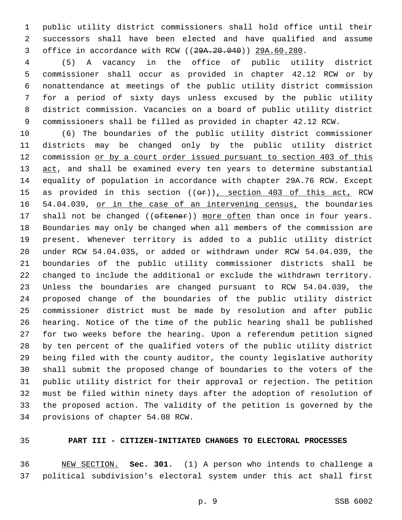public utility district commissioners shall hold office until their successors shall have been elected and have qualified and assume office in accordance with RCW ((29A.20.040)) 29A.60.280.

 (5) A vacancy in the office of public utility district commissioner shall occur as provided in chapter 42.12 RCW or by nonattendance at meetings of the public utility district commission for a period of sixty days unless excused by the public utility district commission. Vacancies on a board of public utility district commissioners shall be filled as provided in chapter 42.12 RCW.

 (6) The boundaries of the public utility district commissioner districts may be changed only by the public utility district commission or by a court order issued pursuant to section 403 of this 13 act, and shall be examined every ten years to determine substantial equality of population in accordance with chapter 29A.76 RCW. Except 15 as provided in this section (( $\Theta$ r)), section 403 of this act, RCW 16 54.04.039, or in the case of an intervening census, the boundaries 17 shall not be changed ((oftener)) more often than once in four years. Boundaries may only be changed when all members of the commission are present. Whenever territory is added to a public utility district under RCW 54.04.035, or added or withdrawn under RCW 54.04.039, the boundaries of the public utility commissioner districts shall be changed to include the additional or exclude the withdrawn territory. Unless the boundaries are changed pursuant to RCW 54.04.039, the proposed change of the boundaries of the public utility district commissioner district must be made by resolution and after public hearing. Notice of the time of the public hearing shall be published for two weeks before the hearing. Upon a referendum petition signed by ten percent of the qualified voters of the public utility district being filed with the county auditor, the county legislative authority shall submit the proposed change of boundaries to the voters of the public utility district for their approval or rejection. The petition must be filed within ninety days after the adoption of resolution of the proposed action. The validity of the petition is governed by the 34 provisions of chapter 54.08 RCW.

# **PART III - CITIZEN-INITIATED CHANGES TO ELECTORAL PROCESSES**

 NEW SECTION. **Sec. 301.** (1) A person who intends to challenge a political subdivision's electoral system under this act shall first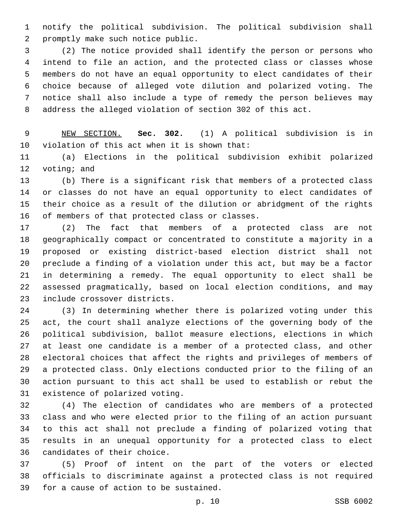notify the political subdivision. The political subdivision shall 2 promptly make such notice public.

 (2) The notice provided shall identify the person or persons who intend to file an action, and the protected class or classes whose members do not have an equal opportunity to elect candidates of their choice because of alleged vote dilution and polarized voting. The notice shall also include a type of remedy the person believes may address the alleged violation of section 302 of this act.

 NEW SECTION. **Sec. 302.** (1) A political subdivision is in violation of this act when it is shown that:

 (a) Elections in the political subdivision exhibit polarized 12 voting; and

 (b) There is a significant risk that members of a protected class or classes do not have an equal opportunity to elect candidates of their choice as a result of the dilution or abridgment of the rights 16 of members of that protected class or classes.

 (2) The fact that members of a protected class are not geographically compact or concentrated to constitute a majority in a proposed or existing district-based election district shall not preclude a finding of a violation under this act, but may be a factor in determining a remedy. The equal opportunity to elect shall be assessed pragmatically, based on local election conditions, and may 23 include crossover districts.

 (3) In determining whether there is polarized voting under this act, the court shall analyze elections of the governing body of the political subdivision, ballot measure elections, elections in which at least one candidate is a member of a protected class, and other electoral choices that affect the rights and privileges of members of a protected class. Only elections conducted prior to the filing of an action pursuant to this act shall be used to establish or rebut the 31 existence of polarized voting.

 (4) The election of candidates who are members of a protected class and who were elected prior to the filing of an action pursuant to this act shall not preclude a finding of polarized voting that results in an unequal opportunity for a protected class to elect 36 candidates of their choice.

 (5) Proof of intent on the part of the voters or elected officials to discriminate against a protected class is not required 39 for a cause of action to be sustained.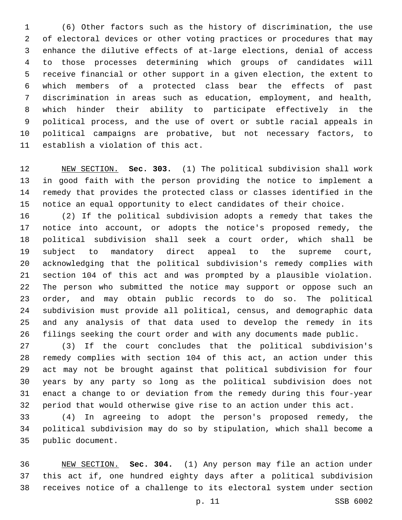(6) Other factors such as the history of discrimination, the use of electoral devices or other voting practices or procedures that may enhance the dilutive effects of at-large elections, denial of access to those processes determining which groups of candidates will receive financial or other support in a given election, the extent to which members of a protected class bear the effects of past discrimination in areas such as education, employment, and health, which hinder their ability to participate effectively in the political process, and the use of overt or subtle racial appeals in political campaigns are probative, but not necessary factors, to 11 establish a violation of this act.

 NEW SECTION. **Sec. 303.** (1) The political subdivision shall work in good faith with the person providing the notice to implement a remedy that provides the protected class or classes identified in the notice an equal opportunity to elect candidates of their choice.

 (2) If the political subdivision adopts a remedy that takes the notice into account, or adopts the notice's proposed remedy, the political subdivision shall seek a court order, which shall be subject to mandatory direct appeal to the supreme court, acknowledging that the political subdivision's remedy complies with section 104 of this act and was prompted by a plausible violation. The person who submitted the notice may support or oppose such an order, and may obtain public records to do so. The political subdivision must provide all political, census, and demographic data and any analysis of that data used to develop the remedy in its filings seeking the court order and with any documents made public.

 (3) If the court concludes that the political subdivision's remedy complies with section 104 of this act, an action under this act may not be brought against that political subdivision for four years by any party so long as the political subdivision does not enact a change to or deviation from the remedy during this four-year period that would otherwise give rise to an action under this act.

 (4) In agreeing to adopt the person's proposed remedy, the political subdivision may do so by stipulation, which shall become a 35 public document.

 NEW SECTION. **Sec. 304.** (1) Any person may file an action under this act if, one hundred eighty days after a political subdivision receives notice of a challenge to its electoral system under section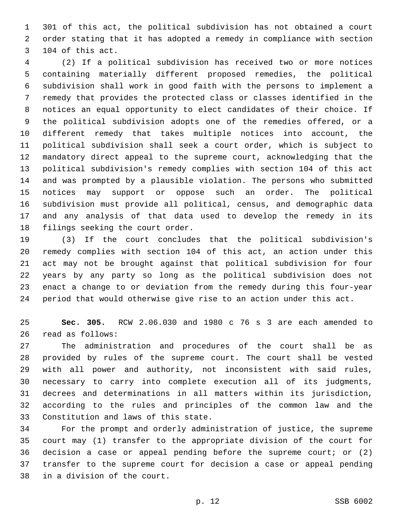301 of this act, the political subdivision has not obtained a court order stating that it has adopted a remedy in compliance with section 3 104 of this act.

 (2) If a political subdivision has received two or more notices containing materially different proposed remedies, the political subdivision shall work in good faith with the persons to implement a remedy that provides the protected class or classes identified in the notices an equal opportunity to elect candidates of their choice. If the political subdivision adopts one of the remedies offered, or a different remedy that takes multiple notices into account, the political subdivision shall seek a court order, which is subject to mandatory direct appeal to the supreme court, acknowledging that the political subdivision's remedy complies with section 104 of this act and was prompted by a plausible violation. The persons who submitted notices may support or oppose such an order. The political subdivision must provide all political, census, and demographic data and any analysis of that data used to develop the remedy in its 18 filings seeking the court order.

 (3) If the court concludes that the political subdivision's remedy complies with section 104 of this act, an action under this act may not be brought against that political subdivision for four years by any party so long as the political subdivision does not enact a change to or deviation from the remedy during this four-year period that would otherwise give rise to an action under this act.

 **Sec. 305.** RCW 2.06.030 and 1980 c 76 s 3 are each amended to 26 read as follows:

 The administration and procedures of the court shall be as provided by rules of the supreme court. The court shall be vested with all power and authority, not inconsistent with said rules, necessary to carry into complete execution all of its judgments, decrees and determinations in all matters within its jurisdiction, according to the rules and principles of the common law and the 33 Constitution and laws of this state.

 For the prompt and orderly administration of justice, the supreme court may (1) transfer to the appropriate division of the court for decision a case or appeal pending before the supreme court; or (2) transfer to the supreme court for decision a case or appeal pending 38 in a division of the court.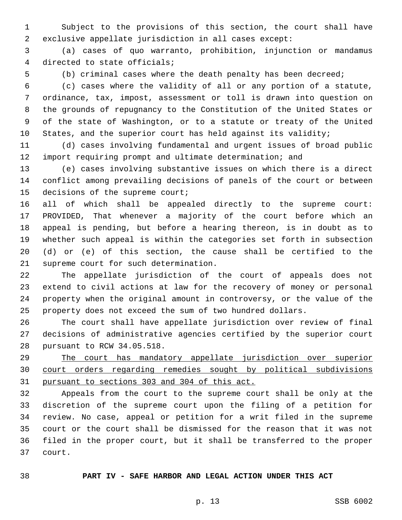Subject to the provisions of this section, the court shall have exclusive appellate jurisdiction in all cases except:

 (a) cases of quo warranto, prohibition, injunction or mandamus 4 directed to state officials;

(b) criminal cases where the death penalty has been decreed;

 (c) cases where the validity of all or any portion of a statute, ordinance, tax, impost, assessment or toll is drawn into question on the grounds of repugnancy to the Constitution of the United States or of the state of Washington, or to a statute or treaty of the United States, and the superior court has held against its validity;

 (d) cases involving fundamental and urgent issues of broad public import requiring prompt and ultimate determination; and

 (e) cases involving substantive issues on which there is a direct conflict among prevailing decisions of panels of the court or between 15 decisions of the supreme court;

 all of which shall be appealed directly to the supreme court: PROVIDED, That whenever a majority of the court before which an appeal is pending, but before a hearing thereon, is in doubt as to whether such appeal is within the categories set forth in subsection (d) or (e) of this section, the cause shall be certified to the 21 supreme court for such determination.

 The appellate jurisdiction of the court of appeals does not extend to civil actions at law for the recovery of money or personal property when the original amount in controversy, or the value of the property does not exceed the sum of two hundred dollars.

 The court shall have appellate jurisdiction over review of final decisions of administrative agencies certified by the superior court 28 pursuant to RCW 34.05.518.

 The court has mandatory appellate jurisdiction over superior court orders regarding remedies sought by political subdivisions pursuant to sections 303 and 304 of this act.

 Appeals from the court to the supreme court shall be only at the discretion of the supreme court upon the filing of a petition for review. No case, appeal or petition for a writ filed in the supreme court or the court shall be dismissed for the reason that it was not filed in the proper court, but it shall be transferred to the proper 37 court.

# **PART IV - SAFE HARBOR AND LEGAL ACTION UNDER THIS ACT**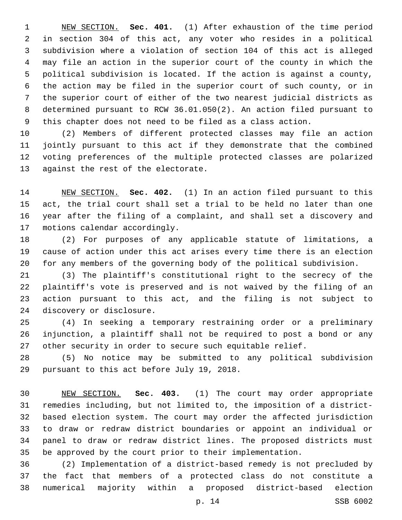NEW SECTION. **Sec. 401.** (1) After exhaustion of the time period in section 304 of this act, any voter who resides in a political subdivision where a violation of section 104 of this act is alleged may file an action in the superior court of the county in which the political subdivision is located. If the action is against a county, the action may be filed in the superior court of such county, or in the superior court of either of the two nearest judicial districts as determined pursuant to RCW 36.01.050(2). An action filed pursuant to this chapter does not need to be filed as a class action.

 (2) Members of different protected classes may file an action jointly pursuant to this act if they demonstrate that the combined voting preferences of the multiple protected classes are polarized 13 against the rest of the electorate.

 NEW SECTION. **Sec. 402.** (1) In an action filed pursuant to this act, the trial court shall set a trial to be held no later than one year after the filing of a complaint, and shall set a discovery and motions calendar accordingly.

 (2) For purposes of any applicable statute of limitations, a cause of action under this act arises every time there is an election for any members of the governing body of the political subdivision.

 (3) The plaintiff's constitutional right to the secrecy of the plaintiff's vote is preserved and is not waived by the filing of an action pursuant to this act, and the filing is not subject to 24 discovery or disclosure.

 (4) In seeking a temporary restraining order or a preliminary injunction, a plaintiff shall not be required to post a bond or any other security in order to secure such equitable relief.

 (5) No notice may be submitted to any political subdivision 29 pursuant to this act before July 19, 2018.

 NEW SECTION. **Sec. 403.** (1) The court may order appropriate remedies including, but not limited to, the imposition of a district- based election system. The court may order the affected jurisdiction to draw or redraw district boundaries or appoint an individual or panel to draw or redraw district lines. The proposed districts must be approved by the court prior to their implementation.

 (2) Implementation of a district-based remedy is not precluded by the fact that members of a protected class do not constitute a numerical majority within a proposed district-based election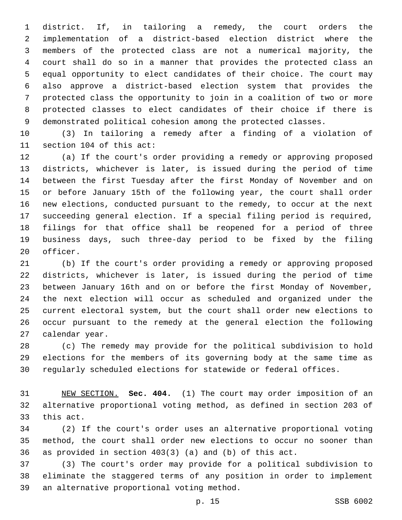district. If, in tailoring a remedy, the court orders the implementation of a district-based election district where the members of the protected class are not a numerical majority, the court shall do so in a manner that provides the protected class an equal opportunity to elect candidates of their choice. The court may also approve a district-based election system that provides the protected class the opportunity to join in a coalition of two or more protected classes to elect candidates of their choice if there is demonstrated political cohesion among the protected classes.

 (3) In tailoring a remedy after a finding of a violation of 11 section 104 of this act:

 (a) If the court's order providing a remedy or approving proposed districts, whichever is later, is issued during the period of time between the first Tuesday after the first Monday of November and on or before January 15th of the following year, the court shall order new elections, conducted pursuant to the remedy, to occur at the next succeeding general election. If a special filing period is required, filings for that office shall be reopened for a period of three business days, such three-day period to be fixed by the filing 20 officer.

 (b) If the court's order providing a remedy or approving proposed districts, whichever is later, is issued during the period of time between January 16th and on or before the first Monday of November, the next election will occur as scheduled and organized under the current electoral system, but the court shall order new elections to occur pursuant to the remedy at the general election the following 27 calendar year.

 (c) The remedy may provide for the political subdivision to hold elections for the members of its governing body at the same time as regularly scheduled elections for statewide or federal offices.

 NEW SECTION. **Sec. 404.** (1) The court may order imposition of an alternative proportional voting method, as defined in section 203 of this act.

 (2) If the court's order uses an alternative proportional voting method, the court shall order new elections to occur no sooner than as provided in section 403(3) (a) and (b) of this act.

 (3) The court's order may provide for a political subdivision to eliminate the staggered terms of any position in order to implement 39 an alternative proportional voting method.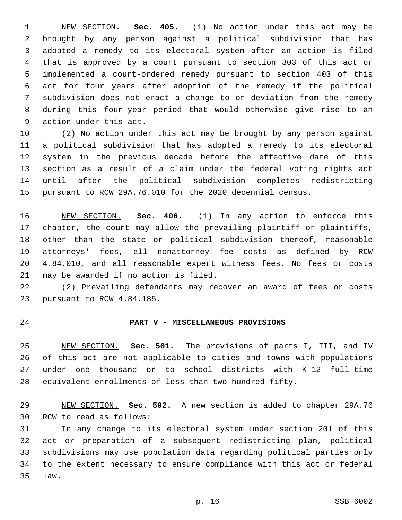NEW SECTION. **Sec. 405.** (1) No action under this act may be brought by any person against a political subdivision that has adopted a remedy to its electoral system after an action is filed that is approved by a court pursuant to section 303 of this act or implemented a court-ordered remedy pursuant to section 403 of this act for four years after adoption of the remedy if the political subdivision does not enact a change to or deviation from the remedy during this four-year period that would otherwise give rise to an action under this act.

 (2) No action under this act may be brought by any person against a political subdivision that has adopted a remedy to its electoral system in the previous decade before the effective date of this section as a result of a claim under the federal voting rights act until after the political subdivision completes redistricting pursuant to RCW 29A.76.010 for the 2020 decennial census.

 NEW SECTION. **Sec. 406.** (1) In any action to enforce this 17 chapter, the court may allow the prevailing plaintiff or plaintiffs, other than the state or political subdivision thereof, reasonable attorneys' fees, all nonattorney fee costs as defined by RCW 4.84.010, and all reasonable expert witness fees. No fees or costs may be awarded if no action is filed.

 (2) Prevailing defendants may recover an award of fees or costs 23 pursuant to RCW 4.84.185.

#### **PART V - MISCELLANEOUS PROVISIONS**

 NEW SECTION. **Sec. 501.** The provisions of parts I, III, and IV of this act are not applicable to cities and towns with populations under one thousand or to school districts with K-12 full-time equivalent enrollments of less than two hundred fifty.

 NEW SECTION. **Sec. 502.** A new section is added to chapter 29A.76 30 RCW to read as follows:

 In any change to its electoral system under section 201 of this act or preparation of a subsequent redistricting plan, political subdivisions may use population data regarding political parties only to the extent necessary to ensure compliance with this act or federal law.35